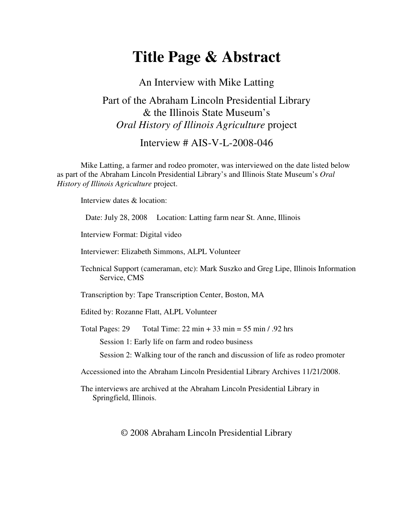# **Title Page & Abstract**

An Interview with Mike Latting Part of the Abraham Lincoln Presidential Library & the Illinois State Museum's *Oral History of Illinois Agriculture* project

### Interview # AIS-V-L-2008-046

Mike Latting, a farmer and rodeo promoter, was interviewed on the date listed below as part of the Abraham Lincoln Presidential Library's and Illinois State Museum's *Oral History of Illinois Agriculture* project.

Interview dates & location:

Date: July 28, 2008 Location: Latting farm near St. Anne, Illinois

Interview Format: Digital video

Interviewer: Elizabeth Simmons, ALPL Volunteer

Technical Support (cameraman, etc): Mark Suszko and Greg Lipe, Illinois Information Service, CMS

Transcription by: Tape Transcription Center, Boston, MA

Edited by: Rozanne Flatt, ALPL Volunteer

Total Pages:  $29$  Total Time:  $22 \text{ min} + 33 \text{ min} = 55 \text{ min} / .92 \text{ hrs}$ 

Session 1: Early life on farm and rodeo business

Session 2: Walking tour of the ranch and discussion of life as rodeo promoter

Accessioned into the Abraham Lincoln Presidential Library Archives 11/21/2008.

The interviews are archived at the Abraham Lincoln Presidential Library in Springfield, Illinois.

#### © 2008 Abraham Lincoln Presidential Library